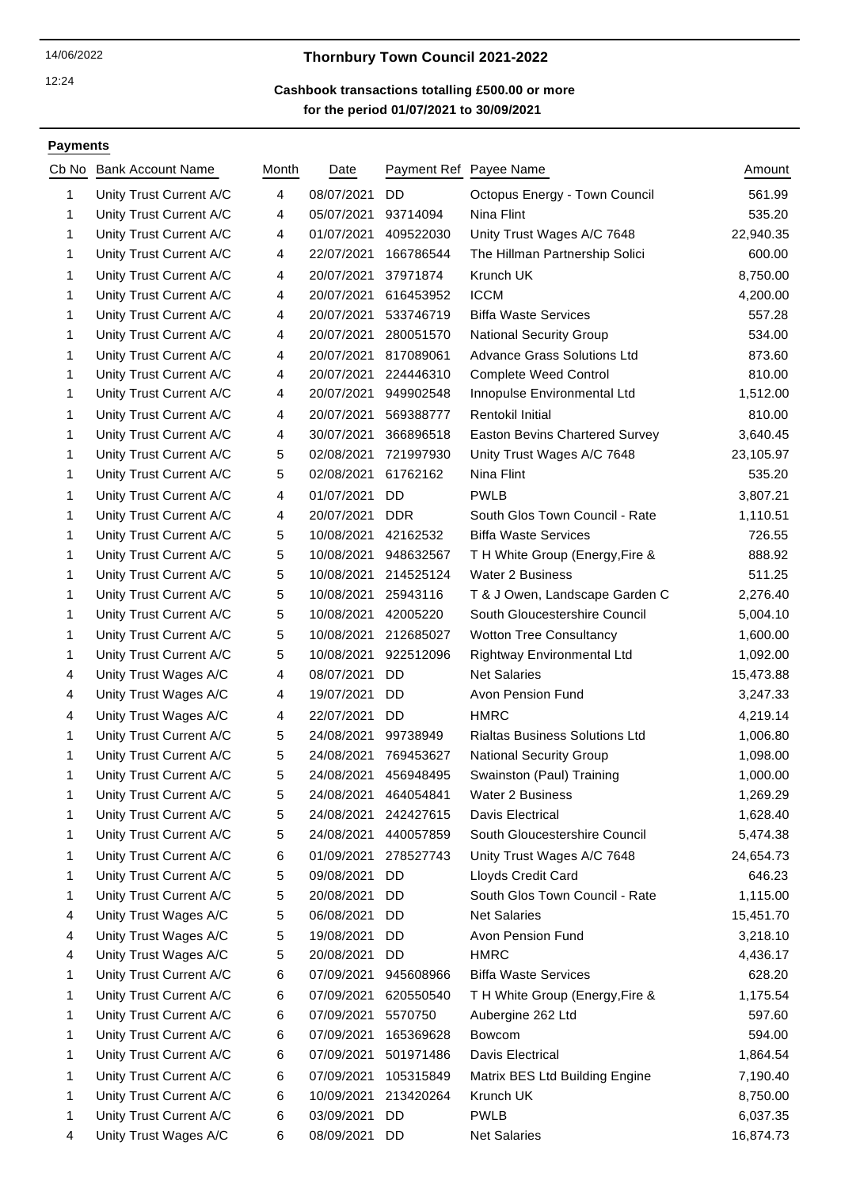12:24

# 14/06/2022 **Thornbury Town Council 2021-2022**

# **for the period 01/07/2021 to 30/09/2021 Cashbook transactions totalling £500.00 or more**

#### **Payments**

|                         | Cb No Bank Account Name | Month | Date                 |            | Payment Ref Payee Name                | Amount    |
|-------------------------|-------------------------|-------|----------------------|------------|---------------------------------------|-----------|
| 1                       | Unity Trust Current A/C | 4     | 08/07/2021           | DD         | Octopus Energy - Town Council         | 561.99    |
| 1                       | Unity Trust Current A/C | 4     | 05/07/2021           | 93714094   | Nina Flint                            | 535.20    |
| 1                       | Unity Trust Current A/C | 4     | 01/07/2021           | 409522030  | Unity Trust Wages A/C 7648            | 22,940.35 |
| 1                       | Unity Trust Current A/C | 4     | 22/07/2021           | 166786544  | The Hillman Partnership Solici        | 600.00    |
| 1                       | Unity Trust Current A/C | 4     | 20/07/2021           | 37971874   | Krunch UK                             | 8,750.00  |
| 1                       | Unity Trust Current A/C | 4     | 20/07/2021           | 616453952  | <b>ICCM</b>                           | 4,200.00  |
| 1                       | Unity Trust Current A/C | 4     | 20/07/2021           | 533746719  | <b>Biffa Waste Services</b>           | 557.28    |
| 1                       | Unity Trust Current A/C | 4     | 20/07/2021           | 280051570  | <b>National Security Group</b>        | 534.00    |
| 1                       | Unity Trust Current A/C | 4     | 20/07/2021           | 817089061  | <b>Advance Grass Solutions Ltd</b>    | 873.60    |
| 1                       | Unity Trust Current A/C | 4     | 20/07/2021           | 224446310  | <b>Complete Weed Control</b>          | 810.00    |
| 1                       | Unity Trust Current A/C | 4     | 20/07/2021           | 949902548  | Innopulse Environmental Ltd           | 1,512.00  |
| 1                       | Unity Trust Current A/C | 4     | 20/07/2021           | 569388777  | Rentokil Initial                      | 810.00    |
| 1                       | Unity Trust Current A/C | 4     | 30/07/2021           | 366896518  | <b>Easton Bevins Chartered Survey</b> | 3,640.45  |
| 1                       | Unity Trust Current A/C | 5     | 02/08/2021           | 721997930  | Unity Trust Wages A/C 7648            | 23,105.97 |
| 1                       | Unity Trust Current A/C | 5     | 02/08/2021           | 61762162   | Nina Flint                            | 535.20    |
| 1                       | Unity Trust Current A/C | 4     | 01/07/2021           | <b>DD</b>  | <b>PWLB</b>                           | 3,807.21  |
| 1                       | Unity Trust Current A/C | 4     | 20/07/2021           | <b>DDR</b> | South Glos Town Council - Rate        | 1,110.51  |
| 1                       | Unity Trust Current A/C | 5     | 10/08/2021           | 42162532   | <b>Biffa Waste Services</b>           | 726.55    |
| 1                       | Unity Trust Current A/C | 5     | 10/08/2021           | 948632567  | T H White Group (Energy, Fire &       | 888.92    |
| 1                       | Unity Trust Current A/C | 5     | 10/08/2021           | 214525124  | <b>Water 2 Business</b>               | 511.25    |
| 1                       | Unity Trust Current A/C | 5     | 10/08/2021           | 25943116   | T & J Owen, Landscape Garden C        | 2,276.40  |
| 1                       | Unity Trust Current A/C | 5     | 10/08/2021           | 42005220   | South Gloucestershire Council         | 5,004.10  |
| 1                       | Unity Trust Current A/C | 5     | 10/08/2021           | 212685027  | <b>Wotton Tree Consultancy</b>        | 1,600.00  |
| 1                       | Unity Trust Current A/C | 5     | 10/08/2021           | 922512096  | Rightway Environmental Ltd            | 1,092.00  |
| 4                       | Unity Trust Wages A/C   | 4     | 08/07/2021           | DD         | <b>Net Salaries</b>                   | 15,473.88 |
| 4                       | Unity Trust Wages A/C   | 4     | 19/07/2021           | <b>DD</b>  | Avon Pension Fund                     | 3,247.33  |
| 4                       | Unity Trust Wages A/C   | 4     | 22/07/2021           | DD         | <b>HMRC</b>                           | 4,219.14  |
| 1                       | Unity Trust Current A/C | 5     | 24/08/2021           | 99738949   | <b>Rialtas Business Solutions Ltd</b> | 1,006.80  |
| 1                       | Unity Trust Current A/C | 5     | 24/08/2021           | 769453627  | <b>National Security Group</b>        | 1,098.00  |
| 1                       | Unity Trust Current A/C | 5     | 24/08/2021           | 456948495  | Swainston (Paul) Training             | 1,000.00  |
| 1                       | Unity Trust Current A/C | 5     | 24/08/2021 464054841 |            | Water 2 Business                      | 1,269.29  |
| 1                       | Unity Trust Current A/C | 5     | 24/08/2021           | 242427615  | Davis Electrical                      | 1,628.40  |
| 1                       | Unity Trust Current A/C | 5     | 24/08/2021           | 440057859  | South Gloucestershire Council         | 5,474.38  |
| 1                       | Unity Trust Current A/C | 6     | 01/09/2021           | 278527743  | Unity Trust Wages A/C 7648            | 24,654.73 |
| 1                       | Unity Trust Current A/C | 5     | 09/08/2021           | <b>DD</b>  | Lloyds Credit Card                    | 646.23    |
| 1                       | Unity Trust Current A/C | 5     | 20/08/2021           | DD         | South Glos Town Council - Rate        | 1,115.00  |
| 4                       | Unity Trust Wages A/C   | 5     | 06/08/2021           | DD         | <b>Net Salaries</b>                   | 15,451.70 |
| $\overline{\mathbf{4}}$ | Unity Trust Wages A/C   | 5     | 19/08/2021           | DD         | Avon Pension Fund                     | 3,218.10  |
| 4                       | Unity Trust Wages A/C   | 5     | 20/08/2021           | DD         | <b>HMRC</b>                           | 4,436.17  |
| 1                       | Unity Trust Current A/C | 6     | 07/09/2021           | 945608966  | <b>Biffa Waste Services</b>           | 628.20    |
| 1                       | Unity Trust Current A/C | 6     | 07/09/2021           | 620550540  | TH White Group (Energy, Fire &        | 1,175.54  |
| 1                       | Unity Trust Current A/C | 6     | 07/09/2021           | 5570750    | Aubergine 262 Ltd                     | 597.60    |
| 1                       | Unity Trust Current A/C | 6     | 07/09/2021           | 165369628  | Bowcom                                | 594.00    |
| 1                       | Unity Trust Current A/C | 6     | 07/09/2021           | 501971486  | Davis Electrical                      | 1,864.54  |
| 1                       | Unity Trust Current A/C | 6     | 07/09/2021           | 105315849  | Matrix BES Ltd Building Engine        | 7,190.40  |
| 1                       | Unity Trust Current A/C | 6     | 10/09/2021           | 213420264  | Krunch UK                             | 8,750.00  |
| 1                       | Unity Trust Current A/C | 6     | 03/09/2021           | DD         | <b>PWLB</b>                           | 6,037.35  |
| 4                       | Unity Trust Wages A/C   | 6     | 08/09/2021           | DD         | <b>Net Salaries</b>                   | 16,874.73 |
|                         |                         |       |                      |            |                                       |           |